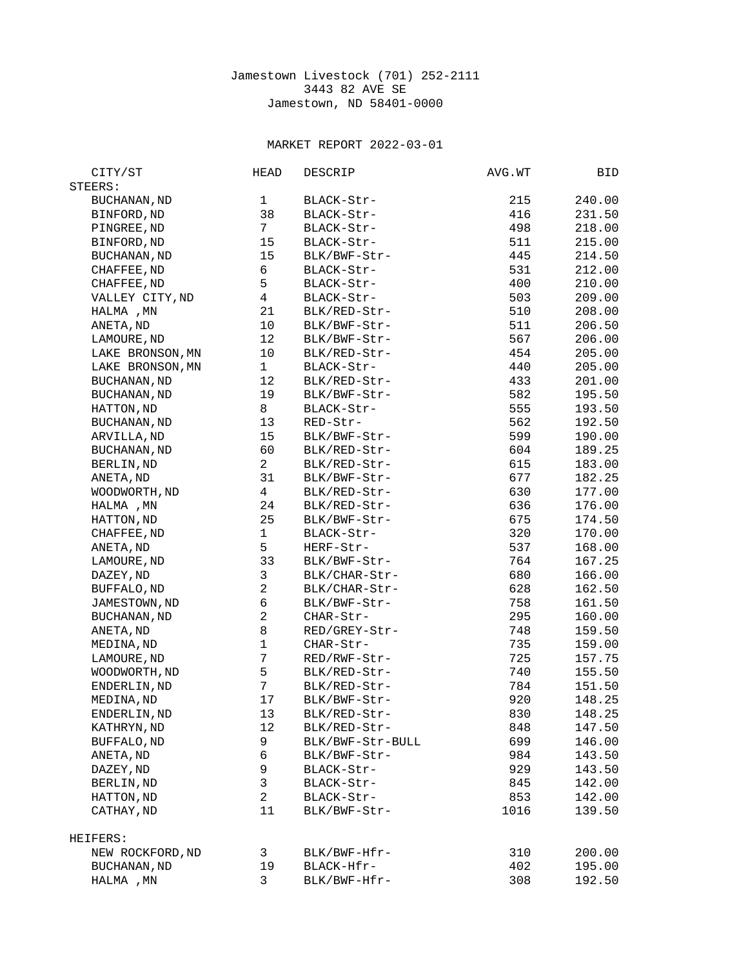## Jamestown Livestock (701) 252-2111 3443 82 AVE SE Jamestown, ND 58401-0000

## MARKET REPORT 2022-03-01

| CITY/ST             | <b>HEAD</b>    | DESCRIP          | AVG.WT | BID    |
|---------------------|----------------|------------------|--------|--------|
| STEERS:             |                |                  |        |        |
| <b>BUCHANAN, ND</b> | 1              | BLACK-Str-       | 215    | 240.00 |
| BINFORD, ND         | 38             | BLACK-Str-       | 416    | 231.50 |
| PINGREE, ND         | $7^{\circ}$    | BLACK-Str-       | 498    | 218.00 |
| BINFORD, ND         | 15             | BLACK-Str-       | 511    | 215.00 |
| <b>BUCHANAN, ND</b> | 15             | BLK/BWF-Str-     | 445    | 214.50 |
| CHAFFEE, ND         | 6              | BLACK-Str-       | 531    | 212.00 |
| CHAFFEE, ND         | 5              | BLACK-Str-       | 400    | 210.00 |
| VALLEY CITY, ND     | 4              | BLACK-Str-       | 503    | 209.00 |
| HALMA, MN           | 21             | BLK/RED-Str-     | 510    | 208.00 |
| ANETA, ND           | 10             | BLK/BWF-Str-     | 511    | 206.50 |
| LAMOURE, ND         | 12             | BLK/BWF-Str-     | 567    | 206.00 |
| LAKE BRONSON, MN    | 10             | BLK/RED-Str-     | 454    | 205.00 |
| LAKE BRONSON, MN    | $\mathbf{1}$   | BLACK-Str-       | 440    | 205.00 |
| <b>BUCHANAN, ND</b> | 12             | BLK/RED-Str-     | 433    | 201.00 |
| <b>BUCHANAN, ND</b> | 19             | BLK/BWF-Str-     | 582    | 195.50 |
| HATTON, ND          | 8              | BLACK-Str-       | 555    | 193.50 |
| <b>BUCHANAN, ND</b> | 13             | RED-Str-         | 562    | 192.50 |
| ARVILLA, ND         | 15             | BLK/BWF-Str-     | 599    | 190.00 |
| <b>BUCHANAN, ND</b> | 60             | BLK/RED-Str-     | 604    | 189.25 |
| BERLIN, ND          | 2 <sup>1</sup> | BLK/RED-Str-     | 615    | 183.00 |
| ANETA, ND           | 31             | BLK/BWF-Str-     | 677    | 182.25 |
| WOODWORTH, ND       | $\overline{4}$ | BLK/RED-Str-     | 630    | 177.00 |
| HALMA, MN           | 24             | BLK/RED-Str-     | 636    | 176.00 |
| HATTON, ND          | 25             | BLK/BWF-Str-     | 675    | 174.50 |
| CHAFFEE, ND         | 1              | BLACK-Str-       | 320    | 170.00 |
| ANETA, ND           | 5              | HERF-Str-        | 537    | 168.00 |
| LAMOURE, ND         | 33             | BLK/BWF-Str-     | 764    | 167.25 |
| DAZEY, ND           | 3              | BLK/CHAR-Str-    | 680    | 166.00 |
| BUFFALO, ND         | $\overline{2}$ | BLK/CHAR-Str-    | 628    | 162.50 |
| JAMESTOWN, ND       | 6              | BLK/BWF-Str-     | 758    | 161.50 |
| BUCHANAN, ND        | $\overline{c}$ | CHAR-Str-        | 295    | 160.00 |
| ANETA, ND           | 8              | RED/GREY-Str-    | 748    | 159.50 |
| MEDINA, ND          | $\mathbf{1}$   | CHAR-Str-        | 735    | 159.00 |
| LAMOURE, ND         | $\overline{7}$ | RED/RWF-Str-     | 725    | 157.75 |
| WOODWORTH, ND       | 5              | BLK/RED-Str-     | 740    | 155.50 |
| ENDERLIN, ND        | $\overline{7}$ | BLK/RED-Str-     | 784    | 151.50 |
| MEDINA, ND          | 17             | BLK/BWF-Str-     | 920    | 148.25 |
| ENDERLIN, ND        | 13             | BLK/RED-Str-     | 830    | 148.25 |
| KATHRYN, ND         | 12             | BLK/RED-Str-     | 848    | 147.50 |
| BUFFALO, ND         | 9              | BLK/BWF-Str-BULL | 699    | 146.00 |
| ANETA, ND           | 6              | BLK/BWF-Str-     | 984    | 143.50 |
| DAZEY, ND           | 9              | BLACK-Str-       | 929    | 143.50 |
| BERLIN, ND          | 3              | BLACK-Str-       | 845    | 142.00 |
| HATTON, ND          | $\overline{2}$ | BLACK-Str-       | 853    | 142.00 |
| CATHAY, ND          | 11             | BLK/BWF-Str-     | 1016   | 139.50 |
| HEIFERS:            |                |                  |        |        |
| NEW ROCKFORD, ND    | 3              | BLK/BWF-Hfr-     | 310    | 200.00 |
| <b>BUCHANAN, ND</b> | 19             | BLACK-Hfr-       | 402    | 195.00 |
| HALMA , MN          | 3              | BLK/BWF-Hfr-     | 308    | 192.50 |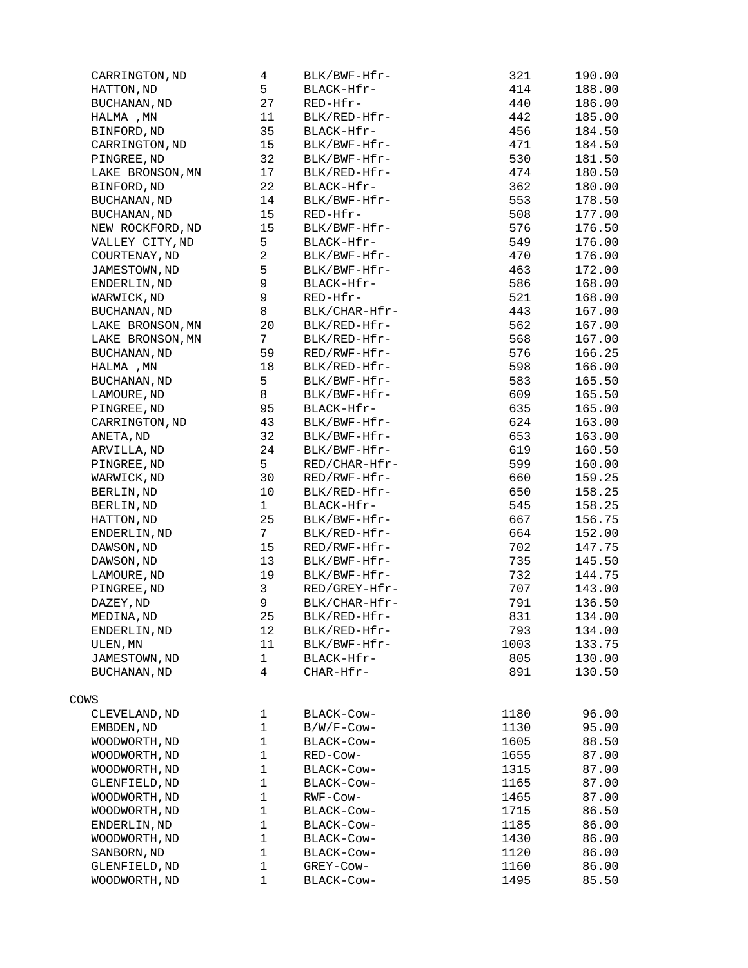| CARRINGTON, ND      | 4              | BLK/BWF-Hfr-  | 321  | 190.00 |
|---------------------|----------------|---------------|------|--------|
| HATTON, ND          | 5              | BLACK-Hfr-    | 414  | 188.00 |
| BUCHANAN, ND        | 27             | RED-Hfr-      | 440  | 186.00 |
| HALMA, MN           | 11             | BLK/RED-Hfr-  | 442  | 185.00 |
| BINFORD, ND         | 35             | BLACK-Hfr-    | 456  | 184.50 |
| CARRINGTON, ND      | 15             | BLK/BWF-Hfr-  | 471  | 184.50 |
| PINGREE, ND         | 32             | BLK/BWF-Hfr-  | 530  | 181.50 |
| LAKE BRONSON, MN    | 17             | BLK/RED-Hfr-  | 474  | 180.50 |
| BINFORD, ND         | 22             | BLACK-Hfr-    | 362  | 180.00 |
| <b>BUCHANAN, ND</b> | 14             | BLK/BWF-Hfr-  | 553  | 178.50 |
| <b>BUCHANAN, ND</b> | 15             | RED-Hfr-      | 508  | 177.00 |
| NEW ROCKFORD, ND    | 15             | BLK/BWF-Hfr-  | 576  | 176.50 |
| VALLEY CITY, ND     | 5              | BLACK-Hfr-    | 549  | 176.00 |
| COURTENAY, ND       | $\overline{c}$ | BLK/BWF-Hfr-  | 470  | 176.00 |
| JAMESTOWN, ND       | 5              | BLK/BWF-Hfr-  | 463  | 172.00 |
| ENDERLIN, ND        | 9              | BLACK-Hfr-    | 586  | 168.00 |
| WARWICK, ND         | 9              | RED-Hfr-      | 521  | 168.00 |
| BUCHANAN, ND        | 8              | BLK/CHAR-Hfr- | 443  | 167.00 |
| LAKE BRONSON, MN    | 20             | BLK/RED-Hfr-  | 562  | 167.00 |
| LAKE BRONSON, MN    | 7 <sup>1</sup> | BLK/RED-Hfr-  | 568  | 167.00 |
| <b>BUCHANAN, ND</b> | 59             | RED/RWF-Hfr-  | 576  | 166.25 |
| HALMA, MN           | 18             | BLK/RED-Hfr-  | 598  | 166.00 |
| BUCHANAN, ND        | 5              | BLK/BWF-Hfr-  | 583  | 165.50 |
| LAMOURE, ND         | 8              | BLK/BWF-Hfr-  | 609  | 165.50 |
| PINGREE, ND         | 95             | BLACK-Hfr-    | 635  | 165.00 |
| CARRINGTON, ND      | 43             | BLK/BWF-Hfr-  | 624  | 163.00 |
| ANETA, ND           | 32             | BLK/BWF-Hfr-  | 653  | 163.00 |
| ARVILLA, ND         | 24             | BLK/BWF-Hfr-  | 619  | 160.50 |
| PINGREE, ND         | 5              | RED/CHAR-Hfr- | 599  | 160.00 |
| WARWICK, ND         | 30             | RED/RWF-Hfr-  | 660  | 159.25 |
| BERLIN, ND          | 10             | BLK/RED-Hfr-  | 650  | 158.25 |
|                     | $\mathbf{1}$   | BLACK-Hfr-    | 545  | 158.25 |
| BERLIN, ND          | 25             | BLK/BWF-Hfr-  | 667  | 156.75 |
| HATTON, ND          | 7 <sup>7</sup> | BLK/RED-Hfr-  | 664  |        |
| ENDERLIN, ND        |                | RED/RWF-Hfr-  |      | 152.00 |
| DAWSON, ND          | 15             | BLK/BWF-Hfr-  | 702  | 147.75 |
| DAWSON, ND          | 13             |               | 735  | 145.50 |
| LAMOURE, ND         | 19             | BLK/BWF-Hfr-  | 732  | 144.75 |
| PINGREE, ND         | 3              | RED/GREY-Hfr- | 707  | 143.00 |
| DAZEY, ND           | 9              | BLK/CHAR-Hfr- | 791  | 136.50 |
| MEDINA, ND          | 25             | BLK/RED-Hfr-  | 831  | 134.00 |
| ENDERLIN, ND        | 12             | BLK/RED-Hfr-  | 793  | 134.00 |
| ULEN, MN            | 11             | BLK/BWF-Hfr-  | 1003 | 133.75 |
| JAMESTOWN, ND       | $\mathbf{1}$   | BLACK-Hfr-    | 805  | 130.00 |
| BUCHANAN, ND        | 4              | CHAR-Hfr-     | 891  | 130.50 |
| COWS                |                |               |      |        |
|                     |                |               |      |        |
| CLEVELAND, ND       | $\mathbf{1}$   | BLACK-Cow-    | 1180 | 96.00  |
| EMBDEN, ND          | $\mathbf 1$    | B/W/F-Cow-    | 1130 | 95.00  |
| WOODWORTH, ND       | 1              | BLACK-Cow-    | 1605 | 88.50  |
| WOODWORTH, ND       | 1              | RED-Cow-      | 1655 | 87.00  |
| WOODWORTH, ND       | $\mathbf 1$    | BLACK-Cow-    | 1315 | 87.00  |
| GLENFIELD, ND       | $\mathbf{1}$   | BLACK-COW-    | 1165 | 87.00  |
| WOODWORTH, ND       | $\mathbf 1$    | RWF-COW-      | 1465 | 87.00  |
| WOODWORTH, ND       | $\mathbf{1}$   | BLACK-COW-    | 1715 | 86.50  |
| ENDERLIN, ND        | $\mathbf 1$    | BLACK-COW-    | 1185 | 86.00  |
| WOODWORTH, ND       | $\mathbf 1$    | BLACK-COW-    | 1430 | 86.00  |
| SANBORN, ND         | 1              | BLACK-COW-    | 1120 | 86.00  |
| GLENFIELD, ND       | 1              | GREY-Cow-     | 1160 | 86.00  |
| WOODWORTH, ND       | $\mathbf 1$    | BLACK-Cow-    | 1495 | 85.50  |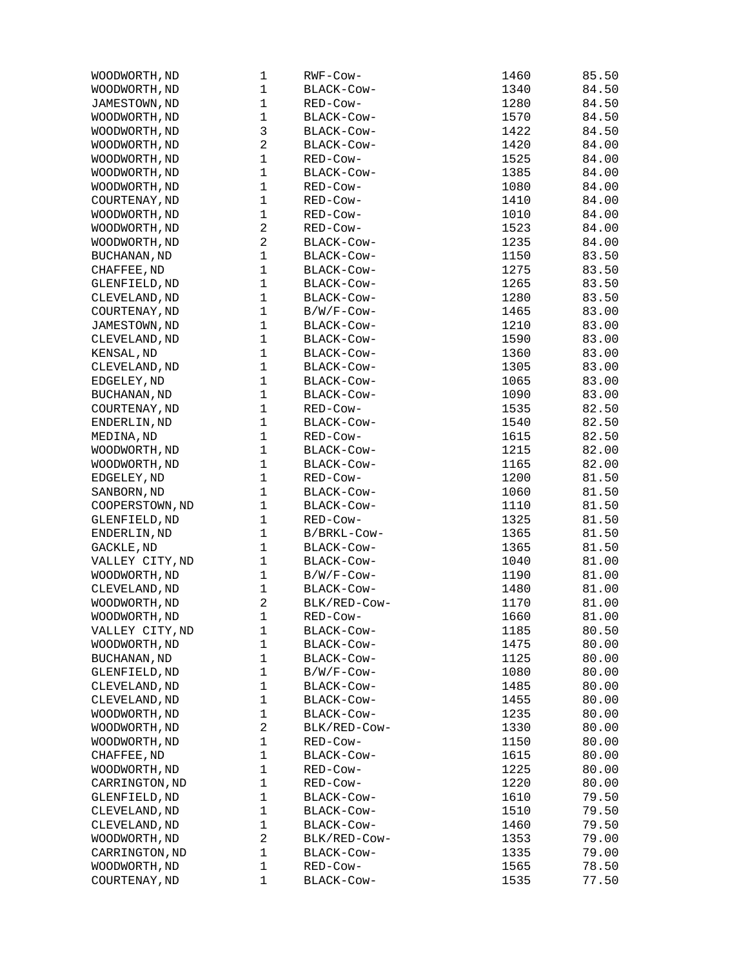| WOODWORTH, ND       | 1              | RWF-Cow-     | 1460 | 85.50 |
|---------------------|----------------|--------------|------|-------|
| WOODWORTH, ND       | $\mathbf 1$    | BLACK-COW-   | 1340 | 84.50 |
| JAMESTOWN, ND       | $\mathbf{1}$   | RED-Cow-     | 1280 | 84.50 |
| WOODWORTH, ND       | 1              | BLACK-COW-   | 1570 | 84.50 |
| WOODWORTH, ND       | 3              | BLACK-Cow-   | 1422 | 84.50 |
| WOODWORTH, ND       | $\overline{c}$ | BLACK-COW-   | 1420 | 84.00 |
| WOODWORTH, ND       | $\mathbf 1$    | RED-Cow-     | 1525 | 84.00 |
| WOODWORTH, ND       | $\mathbf{1}$   | BLACK-COW-   | 1385 | 84.00 |
| WOODWORTH, ND       | $\mathbf 1$    | RED-Cow-     | 1080 | 84.00 |
| COURTENAY, ND       | $\mathbf{1}$   | RED-Cow-     | 1410 | 84.00 |
| WOODWORTH, ND       | 1              | RED-Cow-     | 1010 | 84.00 |
|                     | $\overline{c}$ |              | 1523 |       |
| WOODWORTH, ND       |                | RED-Cow-     |      | 84.00 |
| WOODWORTH, ND       | $\overline{c}$ | BLACK-COW-   | 1235 | 84.00 |
| BUCHANAN, ND        | $\mathbf 1$    | BLACK-COW-   | 1150 | 83.50 |
| CHAFFEE, ND         | $\mathbf{1}$   | BLACK-Cow-   | 1275 | 83.50 |
| GLENFIELD, ND       | $\mathbf 1$    | BLACK-Cow-   | 1265 | 83.50 |
| CLEVELAND, ND       | $\mathbf 1$    | BLACK-Cow-   | 1280 | 83.50 |
| COURTENAY, ND       | $\mathbf 1$    | B/W/F-Cow-   | 1465 | 83.00 |
| JAMESTOWN, ND       | 1              | BLACK-Cow-   | 1210 | 83.00 |
| CLEVELAND, ND       | $\mathbf{1}$   | BLACK-Cow-   | 1590 | 83.00 |
| KENSAL, ND          | 1              | BLACK-Cow-   | 1360 | 83.00 |
| CLEVELAND, ND       | $\mathbf 1$    | BLACK-COW-   | 1305 | 83.00 |
| EDGELEY, ND         | $\mathbf{1}$   | BLACK-Cow-   | 1065 | 83.00 |
| BUCHANAN, ND        | $\mathbf{1}$   | BLACK-Cow-   | 1090 | 83.00 |
| COURTENAY, ND       | $\mathbf 1$    | RED-Cow-     | 1535 | 82.50 |
| ENDERLIN, ND        | $\mathbf 1$    | BLACK-COW-   | 1540 | 82.50 |
| MEDINA, ND          | $\mathbf{1}$   | RED-Cow-     | 1615 | 82.50 |
| WOODWORTH, ND       | 1              | BLACK-COW-   | 1215 | 82.00 |
| WOODWORTH, ND       | 1              | BLACK-Cow-   | 1165 | 82.00 |
| EDGELEY, ND         | $\mathbf{1}$   | RED-Cow-     | 1200 | 81.50 |
| SANBORN, ND         | $\mathbf{1}$   | BLACK-COW-   | 1060 | 81.50 |
|                     | $\mathbf 1$    |              |      |       |
| COOPERSTOWN, ND     |                | BLACK-Cow-   | 1110 | 81.50 |
| GLENFIELD, ND       | $\mathbf{1}$   | RED-Cow-     | 1325 | 81.50 |
| ENDERLIN, ND        | $\mathbf 1$    | B/BRKL-Cow-  | 1365 | 81.50 |
| GACKLE, ND          | $\mathbf{1}$   | BLACK-Cow-   | 1365 | 81.50 |
| VALLEY CITY, ND     | $\mathbf 1$    | BLACK-COW-   | 1040 | 81.00 |
| WOODWORTH, ND       | $\mathbf 1$    | B/W/F-Cow-   | 1190 | 81.00 |
| CLEVELAND, ND       | 1              | BLACK-Cow-   | 1480 | 81.00 |
| WOODWORTH, ND       | $\overline{c}$ | BLK/RED-Cow- | 1170 | 81.00 |
| WOODWORTH, ND       | 1              | RED-Cow-     | 1660 | 81.00 |
| VALLEY CITY, ND     | 1              | BLACK-COW-   | 1185 | 80.50 |
| WOODWORTH, ND       | $\mathbf{1}$   | BLACK-Cow-   | 1475 | 80.00 |
| <b>BUCHANAN, ND</b> | $\mathbf 1$    | BLACK-Cow-   | 1125 | 80.00 |
| GLENFIELD, ND       | $\mathbf 1$    | B/W/F-Cow-   | 1080 | 80.00 |
| CLEVELAND, ND       | 1              | BLACK-Cow-   | 1485 | 80.00 |
| CLEVELAND, ND       | 1              | BLACK-Cow-   | 1455 | 80.00 |
| WOODWORTH, ND       | $\mathbf 1$    | BLACK-Cow-   | 1235 | 80.00 |
| WOODWORTH, ND       | $\overline{c}$ | BLK/RED-Cow- | 1330 | 80.00 |
| WOODWORTH, ND       | $\mathbf 1$    | RED-Cow-     | 1150 | 80.00 |
| CHAFFEE, ND         | $\mathbf 1$    | BLACK-Cow-   | 1615 | 80.00 |
| WOODWORTH, ND       | 1              | RED-Cow-     | 1225 | 80.00 |
| CARRINGTON, ND      | $\mathbf 1$    | RED-Cow-     | 1220 | 80.00 |
| GLENFIELD, ND       | $\mathbf 1$    | BLACK-COW-   | 1610 | 79.50 |
|                     |                |              |      |       |
| CLEVELAND, ND       | 1              | BLACK-Cow-   | 1510 | 79.50 |
| CLEVELAND, ND       | $\mathbf 1$    | BLACK-Cow-   | 1460 | 79.50 |
| WOODWORTH, ND       | 2              | BLK/RED-Cow- | 1353 | 79.00 |
| CARRINGTON, ND      | $\mathbf{1}$   | BLACK-COW-   | 1335 | 79.00 |
| WOODWORTH, ND       | 1              | RED-Cow-     | 1565 | 78.50 |
| COURTENAY, ND       | 1              | BLACK-COW-   | 1535 | 77.50 |